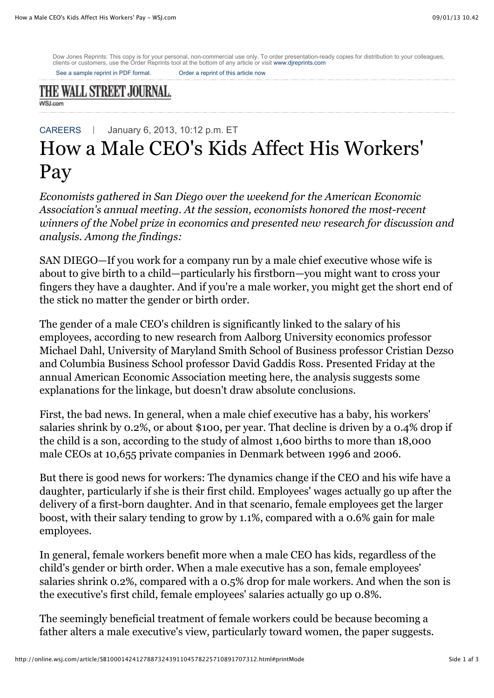Dow Jones Reprints: This copy is for your personal, non-commercial use only. To order presentation-ready copies for distribution to your colleagues,<br>clients or customers, use the Order Reprints tool at the bottom of any ar

[See a sample reprint in PDF format.](http://online.wsj.com/public/resources/documents/Reprint_Samples.pdf) [Order a reprint of this article now](javascript:CopyrightPopUp();)

## THE WALL STREET JOURNAL. **WSJ.com**

[CAREERS](http://online.wsj.com/public/page/news-career-jobs.html) January 6, 2013, 10:12 p.m. ET

# How a Male CEO's Kids Affect His Workers' Pay

*Economists gathered in San Diego over the weekend for the American Economic Association's annual meeting. At the session, economists honored the most-recent winners of the Nobel prize in economics and presented new research for discussion and analysis. Among the findings:*

SAN DIEGO—If you work for a company run by a male chief executive whose wife is about to give birth to a child—particularly his firstborn—you might want to cross your fingers they have a daughter. And if you're a male worker, you might get the short end of the stick no matter the gender or birth order.

The gender of a male CEO's children is significantly linked to the salary of his employees, according to new research from Aalborg University economics professor Michael Dahl, University of Maryland Smith School of Business professor Cristian Dezso and Columbia Business School professor David Gaddis Ross. Presented Friday at the annual American Economic Association meeting here, the analysis suggests some explanations for the linkage, but doesn't draw absolute conclusions.

First, the bad news. In general, when a male chief executive has a baby, his workers' salaries shrink by 0.2%, or about \$100, per year. That decline is driven by a 0.4% drop if the child is a son, according to the study of almost 1,600 births to more than 18,000 male CEOs at 10,655 private companies in Denmark between 1996 and 2006.

But there is good news for workers: The dynamics change if the CEO and his wife have a daughter, particularly if she is their first child. Employees' wages actually go up after the delivery of a first-born daughter. And in that scenario, female employees get the larger boost, with their salary tending to grow by 1.1%, compared with a 0.6% gain for male employees.

In general, female workers benefit more when a male CEO has kids, regardless of the child's gender or birth order. When a male executive has a son, female employees' salaries shrink 0.2%, compared with a 0.5% drop for male workers. And when the son is the executive's first child, female employees' salaries actually go up 0.8%.

The seemingly beneficial treatment of female workers could be because becoming a father alters a male executive's view, particularly toward women, the paper suggests.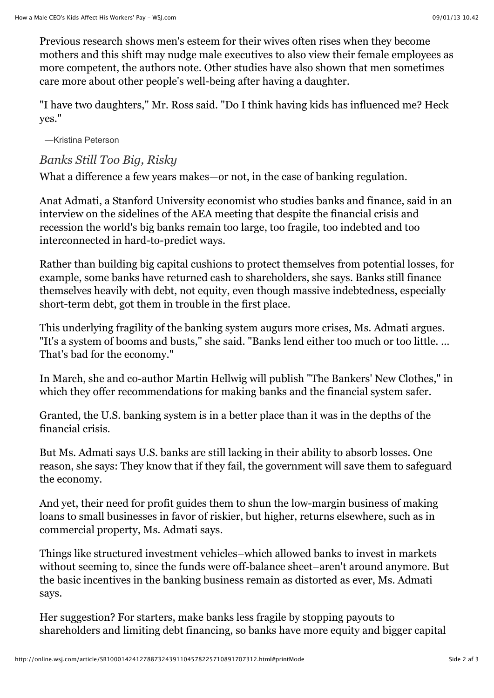Previous research shows men's esteem for their wives often rises when they become mothers and this shift may nudge male executives to also view their female employees as more competent, the authors note. Other studies have also shown that men sometimes care more about other people's well-being after having a daughter.

"I have two daughters," Mr. Ross said. "Do I think having kids has influenced me? Heck yes."

—Kristina Peterson

# *Banks Still Too Big, Risky*

What a difference a few years makes—or not, in the case of banking regulation.

Anat Admati, a Stanford University economist who studies banks and finance, said in an interview on the sidelines of the AEA meeting that despite the financial crisis and recession the world's big banks remain too large, too fragile, too indebted and too interconnected in hard-to-predict ways.

Rather than building big capital cushions to protect themselves from potential losses, for example, some banks have returned cash to shareholders, she says. Banks still finance themselves heavily with debt, not equity, even though massive indebtedness, especially short-term debt, got them in trouble in the first place.

This underlying fragility of the banking system augurs more crises, Ms. Admati argues. "It's a system of booms and busts," she said. "Banks lend either too much or too little. … That's bad for the economy."

In March, she and co-author Martin Hellwig will publish "The Bankers' New Clothes," in which they offer recommendations for making banks and the financial system safer.

Granted, the U.S. banking system is in a better place than it was in the depths of the financial crisis.

But Ms. Admati says U.S. banks are still lacking in their ability to absorb losses. One reason, she says: They know that if they fail, the government will save them to safeguard the economy.

And yet, their need for profit guides them to shun the low-margin business of making loans to small businesses in favor of riskier, but higher, returns elsewhere, such as in commercial property, Ms. Admati says.

Things like structured investment vehicles–which allowed banks to invest in markets without seeming to, since the funds were off-balance sheet–aren't around anymore. But the basic incentives in the banking business remain as distorted as ever, Ms. Admati says.

Her suggestion? For starters, make banks less fragile by stopping payouts to shareholders and limiting debt financing, so banks have more equity and bigger capital